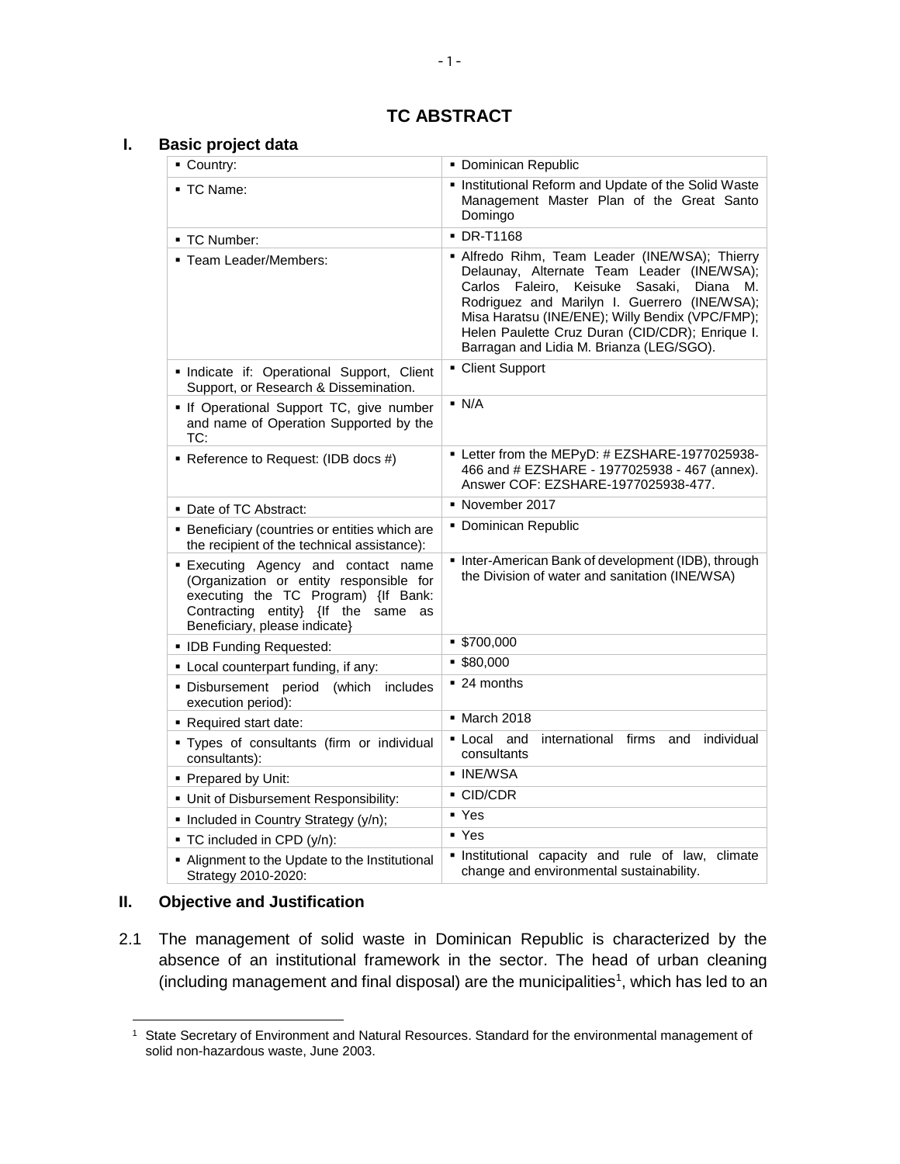# **TC ABSTRACT**

#### **I. Basic project data**

| • Country:                                                                                                                                                                                               | · Dominican Republic                                                                                                                                                                                                                                                                                                                                   |  |  |  |
|----------------------------------------------------------------------------------------------------------------------------------------------------------------------------------------------------------|--------------------------------------------------------------------------------------------------------------------------------------------------------------------------------------------------------------------------------------------------------------------------------------------------------------------------------------------------------|--|--|--|
| ■ TC Name:                                                                                                                                                                                               | Institutional Reform and Update of the Solid Waste<br>Management Master Plan of the Great Santo<br>Domingo                                                                                                                                                                                                                                             |  |  |  |
| ■ TC Number:                                                                                                                                                                                             | <b>- DR-T1168</b>                                                                                                                                                                                                                                                                                                                                      |  |  |  |
| • Team Leader/Members:                                                                                                                                                                                   | • Alfredo Rihm, Team Leader (INE/WSA); Thierry<br>Delaunay, Alternate Team Leader (INE/WSA);<br>Carlos Faleiro.<br>Keisuke<br>Sasaki.<br>Diana<br>М.<br>Rodriguez and Marilyn I. Guerrero (INE/WSA);<br>Misa Haratsu (INE/ENE); Willy Bendix (VPC/FMP);<br>Helen Paulette Cruz Duran (CID/CDR); Enrique I.<br>Barragan and Lidia M. Brianza (LEG/SGO). |  |  |  |
| · Indicate if: Operational Support, Client<br>Support, or Research & Dissemination.                                                                                                                      | • Client Support                                                                                                                                                                                                                                                                                                                                       |  |  |  |
| • If Operational Support TC, give number<br>and name of Operation Supported by the<br>TC:                                                                                                                | $\blacksquare$ N/A                                                                                                                                                                                                                                                                                                                                     |  |  |  |
| Reference to Request: (IDB docs #)                                                                                                                                                                       | • Letter from the MEPyD: # EZSHARE-1977025938-<br>466 and # EZSHARE - 1977025938 - 467 (annex).<br>Answer COF: EZSHARE-1977025938-477.                                                                                                                                                                                                                 |  |  |  |
| • Date of TC Abstract:                                                                                                                                                                                   | • November 2017                                                                                                                                                                                                                                                                                                                                        |  |  |  |
| • Beneficiary (countries or entities which are<br>the recipient of the technical assistance):                                                                                                            | • Dominican Republic                                                                                                                                                                                                                                                                                                                                   |  |  |  |
| <b>Executing Agency and contact name</b><br>(Organization or entity responsible for<br>executing the TC Program) {If Bank:<br>Contracting entity} {If the<br>same<br>as<br>Beneficiary, please indicate} | Inter-American Bank of development (IDB), through<br>the Division of water and sanitation (INE/WSA)                                                                                                                                                                                                                                                    |  |  |  |
| • IDB Funding Requested:                                                                                                                                                                                 | \$700,000                                                                                                                                                                                                                                                                                                                                              |  |  |  |
| • Local counterpart funding, if any:                                                                                                                                                                     | \$80,000                                                                                                                                                                                                                                                                                                                                               |  |  |  |
| · Disbursement period (which includes<br>execution period):                                                                                                                                              | $\blacksquare$ 24 months                                                                                                                                                                                                                                                                                                                               |  |  |  |
| Required start date:                                                                                                                                                                                     | • March 2018                                                                                                                                                                                                                                                                                                                                           |  |  |  |
| . Types of consultants (firm or individual<br>consultants):                                                                                                                                              | individual<br>■ Local<br>and<br>international firms<br>and<br>consultants                                                                                                                                                                                                                                                                              |  |  |  |
| • Prepared by Unit:                                                                                                                                                                                      | $\overline{\blacksquare}$ INE/WSA                                                                                                                                                                                                                                                                                                                      |  |  |  |
| • Unit of Disbursement Responsibility:                                                                                                                                                                   | $\blacksquare$ CID/CDR                                                                                                                                                                                                                                                                                                                                 |  |  |  |
| • Included in Country Strategy (y/n);                                                                                                                                                                    | • Yes                                                                                                                                                                                                                                                                                                                                                  |  |  |  |
| - TC included in CPD (y/n):                                                                                                                                                                              | $\overline{\phantom{1}}$ Yes                                                                                                                                                                                                                                                                                                                           |  |  |  |
| • Alignment to the Update to the Institutional<br>Strategy 2010-2020:                                                                                                                                    | . Institutional capacity and rule of law,<br>climate<br>change and environmental sustainability.                                                                                                                                                                                                                                                       |  |  |  |

#### **II. Objective and Justification**

 $\overline{\phantom{a}}$ 

2.1 The management of solid waste in Dominican Republic is characterized by the absence of an institutional framework in the sector. The head of urban cleaning  $(including management and final disposal)$  are the municipalities<sup>1</sup>, which has led to an

<sup>&</sup>lt;sup>1</sup> State Secretary of Environment and Natural Resources. Standard for the environmental management of solid non-hazardous waste, June 2003.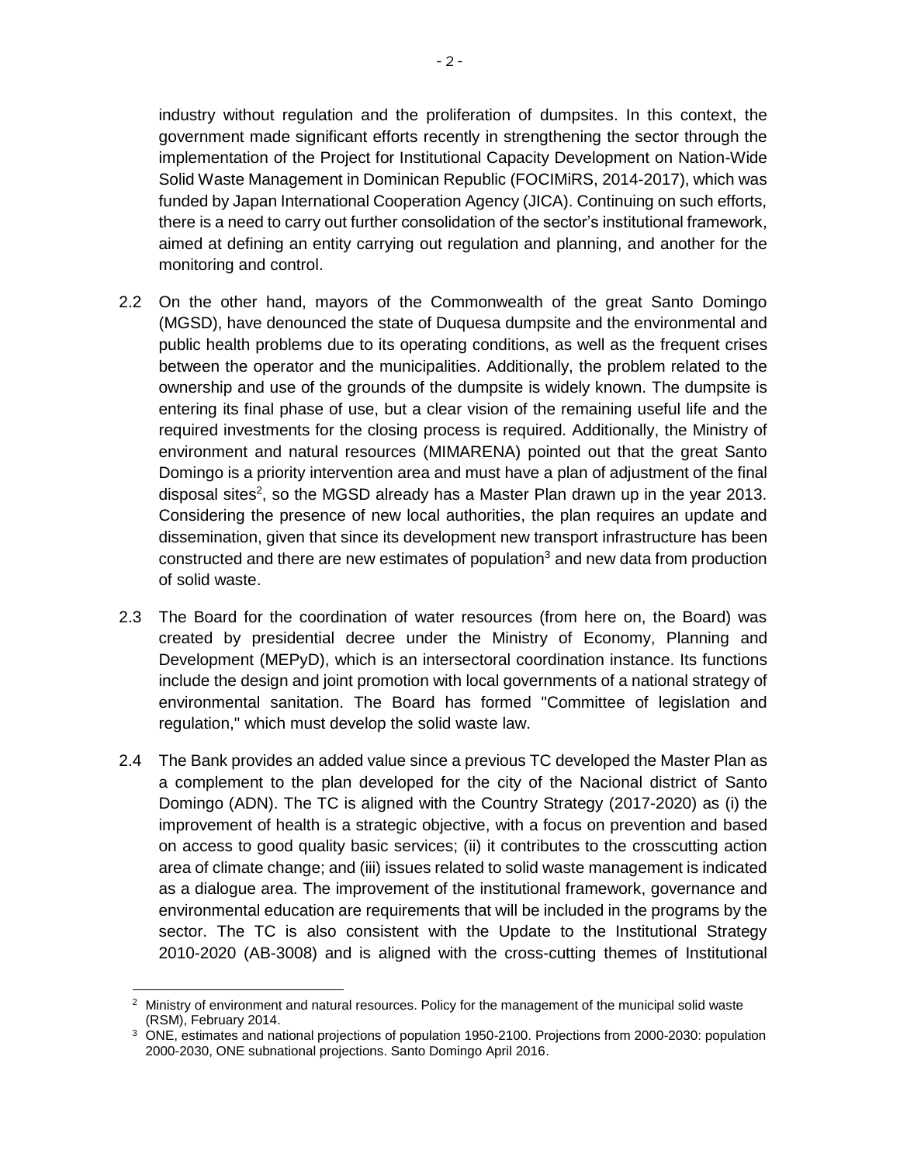industry without regulation and the proliferation of dumpsites. In this context, the government made significant efforts recently in strengthening the sector through the implementation of the Project for Institutional Capacity Development on Nation-Wide Solid Waste Management in Dominican Republic (FOCIMiRS, 2014-2017), which was funded by Japan International Cooperation Agency (JICA). Continuing on such efforts, there is a need to carry out further consolidation of the sector's institutional framework, aimed at defining an entity carrying out regulation and planning, and another for the monitoring and control.

- 2.2 On the other hand, mayors of the Commonwealth of the great Santo Domingo (MGSD), have denounced the state of Duquesa dumpsite and the environmental and public health problems due to its operating conditions, as well as the frequent crises between the operator and the municipalities. Additionally, the problem related to the ownership and use of the grounds of the dumpsite is widely known. The dumpsite is entering its final phase of use, but a clear vision of the remaining useful life and the required investments for the closing process is required. Additionally, the Ministry of environment and natural resources (MIMARENA) pointed out that the great Santo Domingo is a priority intervention area and must have a plan of adjustment of the final disposal sites<sup>2</sup>, so the MGSD already has a Master Plan drawn up in the year 2013. Considering the presence of new local authorities, the plan requires an update and dissemination, given that since its development new transport infrastructure has been constructed and there are new estimates of population $3$  and new data from production of solid waste.
- 2.3 The Board for the coordination of water resources (from here on, the Board) was created by presidential decree under the Ministry of Economy, Planning and Development (MEPyD), which is an intersectoral coordination instance. Its functions include the design and joint promotion with local governments of a national strategy of environmental sanitation. The Board has formed "Committee of legislation and regulation," which must develop the solid waste law.
- 2.4 The Bank provides an added value since a previous TC developed the Master Plan as a complement to the plan developed for the city of the Nacional district of Santo Domingo (ADN). The TC is aligned with the Country Strategy (2017-2020) as (i) the improvement of health is a strategic objective, with a focus on prevention and based on access to good quality basic services; (ii) it contributes to the crosscutting action area of climate change; and (iii) issues related to solid waste management is indicated as a dialogue area. The improvement of the institutional framework, governance and environmental education are requirements that will be included in the programs by the sector. The TC is also consistent with the Update to the Institutional Strategy 2010-2020 (AB-3008) and is aligned with the cross-cutting themes of Institutional

 $\overline{a}$ <sup>2</sup> Ministry of environment and natural resources. Policy for the management of the municipal solid waste (RSM), February 2014.

<sup>&</sup>lt;sup>3</sup> ONE, estimates and national projections of population 1950-2100. Projections from 2000-2030: population 2000-2030, ONE subnational projections. Santo Domingo April 2016.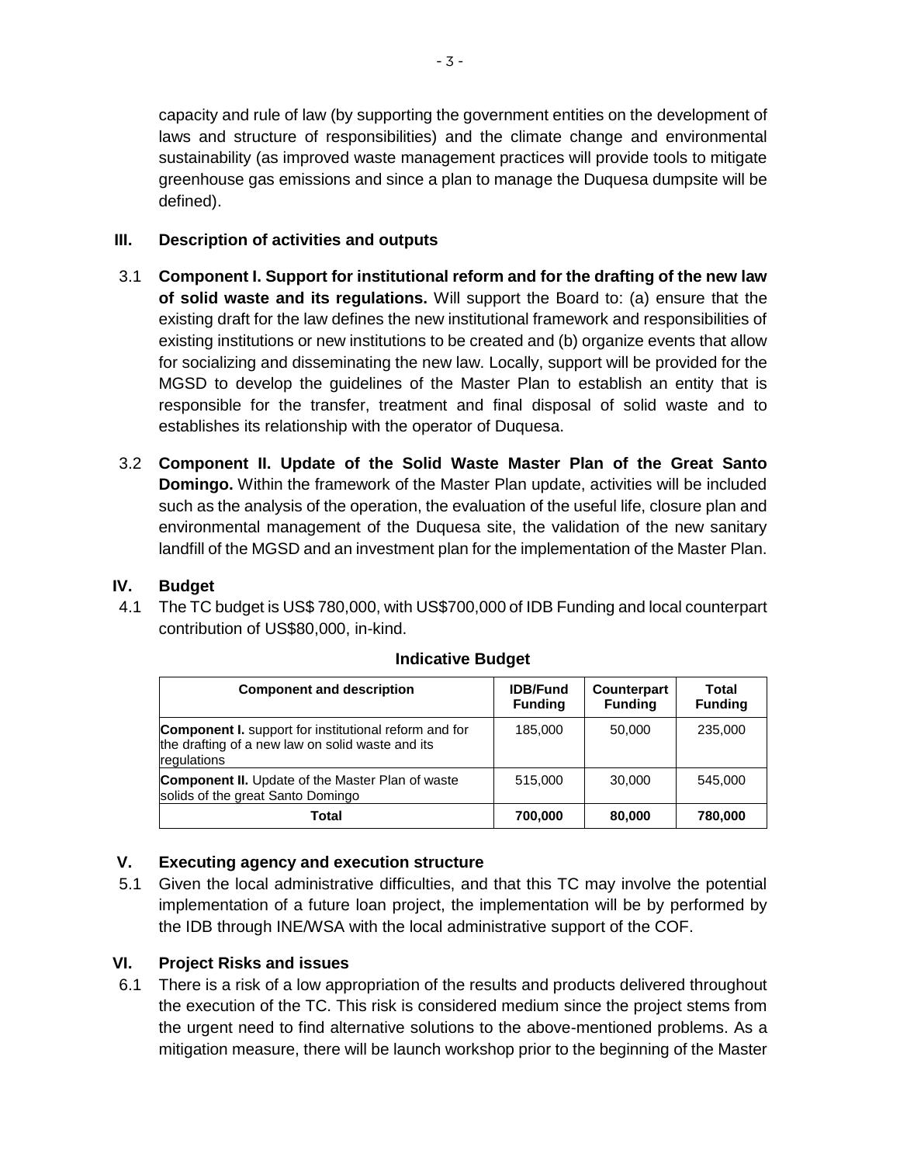capacity and rule of law (by supporting the government entities on the development of laws and structure of responsibilities) and the climate change and environmental sustainability (as improved waste management practices will provide tools to mitigate greenhouse gas emissions and since a plan to manage the Duquesa dumpsite will be defined).

#### **III. Description of activities and outputs**

- 3.1 **Component I. Support for institutional reform and for the drafting of the new law of solid waste and its regulations.** Will support the Board to: (a) ensure that the existing draft for the law defines the new institutional framework and responsibilities of existing institutions or new institutions to be created and (b) organize events that allow for socializing and disseminating the new law. Locally, support will be provided for the MGSD to develop the guidelines of the Master Plan to establish an entity that is responsible for the transfer, treatment and final disposal of solid waste and to establishes its relationship with the operator of Duquesa.
- 3.2 **Component II. Update of the Solid Waste Master Plan of the Great Santo Domingo.** Within the framework of the Master Plan update, activities will be included such as the analysis of the operation, the evaluation of the useful life, closure plan and environmental management of the Duquesa site, the validation of the new sanitary landfill of the MGSD and an investment plan for the implementation of the Master Plan.

### **IV. Budget**

4.1 The TC budget is US\$ 780,000, with US\$700,000 of IDB Funding and local counterpart contribution of US\$80,000, in-kind.

| <b>Component and description</b>                                                                                                | <b>IDB/Fund</b><br><b>Funding</b> | Counterpart<br><b>Funding</b> | Total<br><b>Funding</b> |
|---------------------------------------------------------------------------------------------------------------------------------|-----------------------------------|-------------------------------|-------------------------|
| <b>Component I.</b> support for institutional reform and for<br>the drafting of a new law on solid waste and its<br>regulations | 185,000                           | 50,000                        | 235,000                 |
| <b>Component II.</b> Update of the Master Plan of waste<br>solids of the great Santo Domingo                                    | 515,000                           | 30,000                        | 545,000                 |
| Total                                                                                                                           | 700,000                           | 80,000                        | 780,000                 |

#### **Indicative Budget**

# **V. Executing agency and execution structure**

5.1 Given the local administrative difficulties, and that this TC may involve the potential implementation of a future loan project, the implementation will be by performed by the IDB through INE/WSA with the local administrative support of the COF.

# **VI. Project Risks and issues**

6.1 There is a risk of a low appropriation of the results and products delivered throughout the execution of the TC. This risk is considered medium since the project stems from the urgent need to find alternative solutions to the above-mentioned problems. As a mitigation measure, there will be launch workshop prior to the beginning of the Master